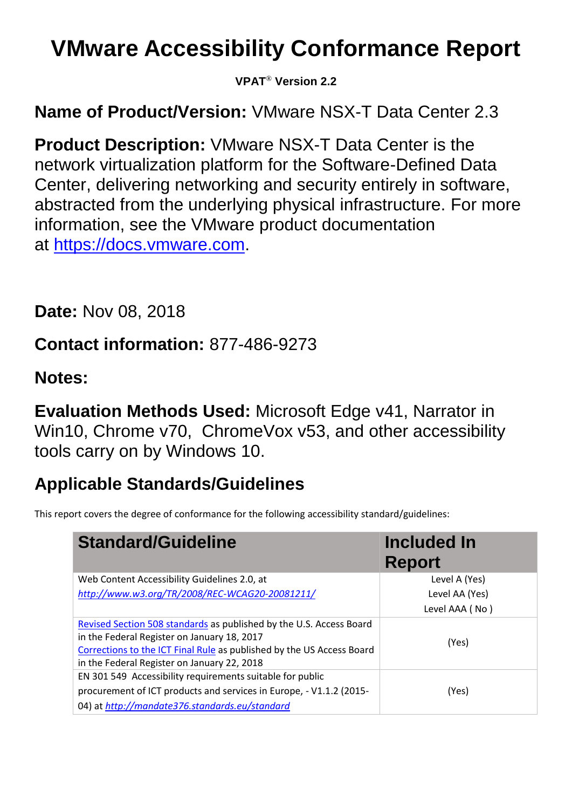# **VMware Accessibility Conformance Report**

**VPAT**® **Version 2.2**

**Name of Product/Version:** VMware NSX-T Data Center 2.3

**Product Description:** VMware NSX-T Data Center is the network virtualization platform for the Software-Defined Data Center, delivering networking and security entirely in software, abstracted from the underlying physical infrastructure. For more information, see the VMware product documentation at [https://docs.vmware.com.](https://docs.vmware.com/)

**Date:** Nov 08, 2018

**Contact information:** 877-486-9273

### **Notes:**

**Evaluation Methods Used:** Microsoft Edge v41, Narrator in Win10, Chrome v70, ChromeVox v53, and other accessibility tools carry on by Windows 10.

# **Applicable Standards/Guidelines**

This report covers the degree of conformance for the following accessibility standard/guidelines:

| <b>Standard/Guideline</b>                                                                                                                                                                                                                  | <b>Included In</b><br><b>Report</b> |
|--------------------------------------------------------------------------------------------------------------------------------------------------------------------------------------------------------------------------------------------|-------------------------------------|
| Web Content Accessibility Guidelines 2.0, at                                                                                                                                                                                               | Level A (Yes)                       |
| http://www.w3.org/TR/2008/REC-WCAG20-20081211/                                                                                                                                                                                             | Level AA (Yes)                      |
|                                                                                                                                                                                                                                            | Level AAA (No)                      |
| Revised Section 508 standards as published by the U.S. Access Board<br>in the Federal Register on January 18, 2017<br>Corrections to the ICT Final Rule as published by the US Access Board<br>in the Federal Register on January 22, 2018 | (Yes)                               |
| EN 301 549 Accessibility requirements suitable for public<br>procurement of ICT products and services in Europe, - V1.1.2 (2015-<br>04) at http://mandate376.standards.eu/standard                                                         | (Yes)                               |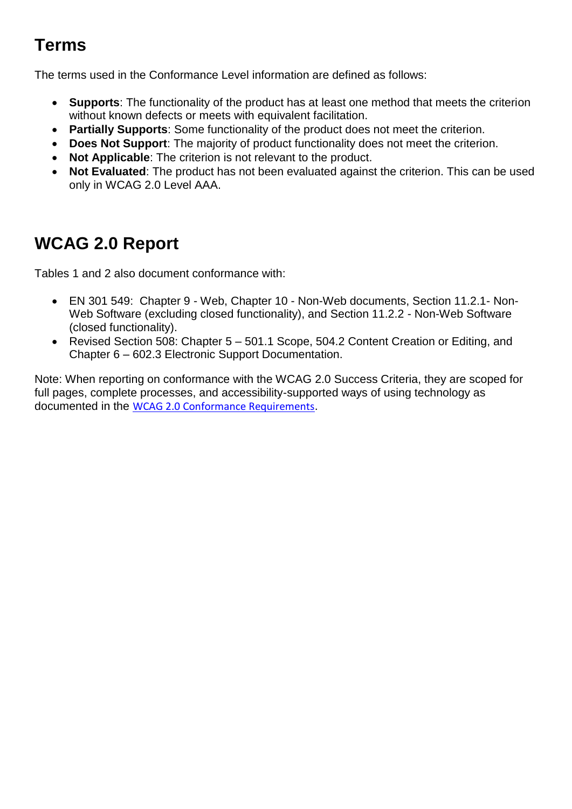### **Terms**

The terms used in the Conformance Level information are defined as follows:

- **Supports**: The functionality of the product has at least one method that meets the criterion without known defects or meets with equivalent facilitation.
- **Partially Supports**: Some functionality of the product does not meet the criterion.
- **Does Not Support**: The majority of product functionality does not meet the criterion.
- **Not Applicable**: The criterion is not relevant to the product.
- **Not Evaluated**: The product has not been evaluated against the criterion. This can be used only in WCAG 2.0 Level AAA.

### **WCAG 2.0 Report**

Tables 1 and 2 also document conformance with:

- EN 301 549: Chapter 9 Web, Chapter 10 Non-Web documents, Section 11.2.1- Non-Web Software (excluding closed functionality), and Section 11.2.2 - Non-Web Software (closed functionality).
- Revised Section 508: Chapter 5 501.1 Scope, 504.2 Content Creation or Editing, and Chapter 6 – 602.3 Electronic Support Documentation.

Note: When reporting on conformance with the WCAG 2.0 Success Criteria, they are scoped for full pages, complete processes, and accessibility-supported ways of using technology as documented in the [WCAG 2.0 Conformance Requirements](https://www.w3.org/TR/WCAG20/#conformance-reqs).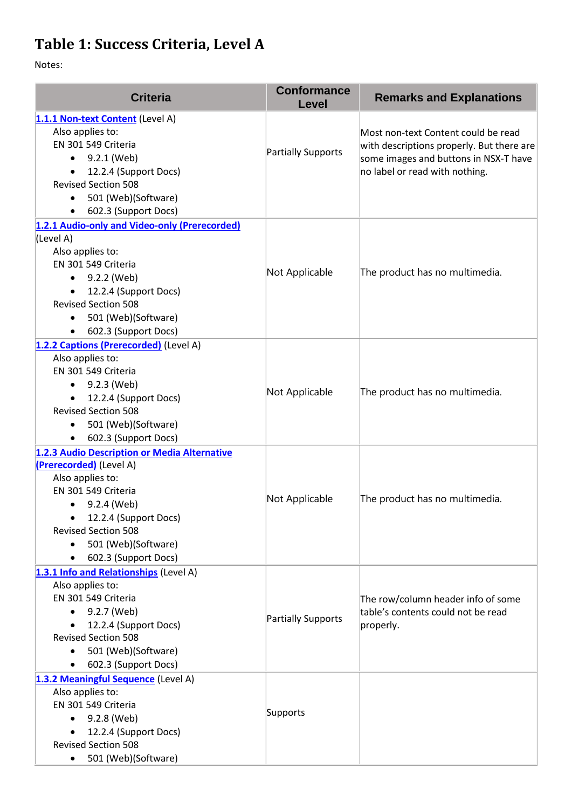### **Table 1: Success Criteria, Level A**

| <b>Criteria</b>                                                                                                                                                                                                                                                   | <b>Conformance</b><br>Level | <b>Remarks and Explanations</b>                                                                                                                             |
|-------------------------------------------------------------------------------------------------------------------------------------------------------------------------------------------------------------------------------------------------------------------|-----------------------------|-------------------------------------------------------------------------------------------------------------------------------------------------------------|
| 1.1.1 Non-text Content (Level A)<br>Also applies to:<br>EN 301 549 Criteria<br>$\bullet$ 9.2.1 (Web)<br>12.2.4 (Support Docs)<br>$\bullet$<br><b>Revised Section 508</b><br>501 (Web)(Software)<br>$\bullet$<br>602.3 (Support Docs)<br>$\bullet$                 | Partially Supports          | Most non-text Content could be read<br>with descriptions properly. But there are<br>some images and buttons in NSX-T have<br>no label or read with nothing. |
| 1.2.1 Audio-only and Video-only (Prerecorded)<br>(Level A)<br>Also applies to:<br>EN 301 549 Criteria<br>9.2.2 (Web)<br>$\bullet$<br>12.2.4 (Support Docs)<br>$\bullet$<br><b>Revised Section 508</b><br>501 (Web)(Software)<br>602.3 (Support Docs)<br>$\bullet$ | Not Applicable              | The product has no multimedia.                                                                                                                              |
| 1.2.2 Captions (Prerecorded) (Level A)<br>Also applies to:<br>EN 301 549 Criteria<br>• $9.2.3$ (Web)<br>12.2.4 (Support Docs)<br><b>Revised Section 508</b><br>501 (Web)(Software)<br>$\bullet$<br>602.3 (Support Docs)                                           | Not Applicable              | The product has no multimedia.                                                                                                                              |
| 1.2.3 Audio Description or Media Alternative<br>(Prerecorded) (Level A)<br>Also applies to:<br>EN 301 549 Criteria<br>9.2.4 (Web)<br>$\bullet$<br>12.2.4 (Support Docs)<br><b>Revised Section 508</b><br>501 (Web)(Software)<br>$\bullet$<br>602.3 (Support Docs) | Not Applicable              | The product has no multimedia.                                                                                                                              |
| 1.3.1 Info and Relationships (Level A)<br>Also applies to:<br>EN 301 549 Criteria<br>9.2.7 (Web)<br>12.2.4 (Support Docs)<br><b>Revised Section 508</b><br>501 (Web)(Software)<br>$\bullet$<br>602.3 (Support Docs)                                               | Partially Supports          | The row/column header info of some<br>table's contents could not be read<br>properly.                                                                       |
| 1.3.2 Meaningful Sequence (Level A)<br>Also applies to:<br>EN 301 549 Criteria<br>$\bullet$ 9.2.8 (Web)<br>12.2.4 (Support Docs)<br><b>Revised Section 508</b><br>501 (Web)(Software)<br>$\bullet$                                                                | Supports                    |                                                                                                                                                             |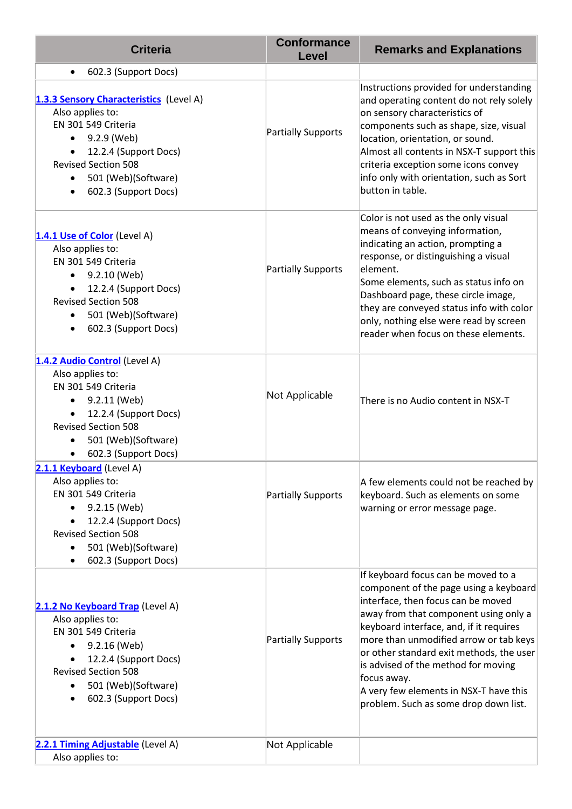| <b>Criteria</b>                                                                                                                                                                                                      | <b>Conformance</b><br><b>Level</b> | <b>Remarks and Explanations</b>                                                                                                                                                                                                                                                                                                                                                                                                        |
|----------------------------------------------------------------------------------------------------------------------------------------------------------------------------------------------------------------------|------------------------------------|----------------------------------------------------------------------------------------------------------------------------------------------------------------------------------------------------------------------------------------------------------------------------------------------------------------------------------------------------------------------------------------------------------------------------------------|
| 602.3 (Support Docs)<br>$\bullet$                                                                                                                                                                                    |                                    |                                                                                                                                                                                                                                                                                                                                                                                                                                        |
| 1.3.3 Sensory Characteristics (Level A)<br>Also applies to:<br>EN 301 549 Criteria<br>9.2.9 (Web)<br>$\bullet$<br>12.2.4 (Support Docs)<br><b>Revised Section 508</b><br>501 (Web)(Software)<br>602.3 (Support Docs) | <b>Partially Supports</b>          | Instructions provided for understanding<br>and operating content do not rely solely<br>on sensory characteristics of<br>components such as shape, size, visual<br>location, orientation, or sound.<br>Almost all contents in NSX-T support this<br>criteria exception some icons convey<br>info only with orientation, such as Sort<br>button in table.                                                                                |
| 1.4.1 Use of Color (Level A)<br>Also applies to:<br>EN 301 549 Criteria<br>$\bullet$ 9.2.10 (Web)<br>12.2.4 (Support Docs)<br><b>Revised Section 508</b><br>501 (Web)(Software)<br>602.3 (Support Docs)              | <b>Partially Supports</b>          | Color is not used as the only visual<br>means of conveying information,<br>indicating an action, prompting a<br>response, or distinguishing a visual<br>element.<br>Some elements, such as status info on<br>Dashboard page, these circle image,<br>they are conveyed status info with color<br>only, nothing else were read by screen<br>reader when focus on these elements.                                                         |
| 1.4.2 Audio Control (Level A)<br>Also applies to:<br>EN 301 549 Criteria<br>9.2.11 (Web)<br>$\bullet$<br>12.2.4 (Support Docs)<br><b>Revised Section 508</b><br>501 (Web)(Software)<br>602.3 (Support Docs)          | Not Applicable                     | There is no Audio content in NSX-T                                                                                                                                                                                                                                                                                                                                                                                                     |
| 2.1.1 Keyboard (Level A)<br>Also applies to:<br>EN 301 549 Criteria<br>9.2.15 (Web)<br>12.2.4 (Support Docs)<br><b>Revised Section 508</b><br>501 (Web)(Software)<br>602.3 (Support Docs)                            | <b>Partially Supports</b>          | A few elements could not be reached by<br>keyboard. Such as elements on some<br>warning or error message page.                                                                                                                                                                                                                                                                                                                         |
| 2.1.2 No Keyboard Trap (Level A)<br>Also applies to:<br>EN 301 549 Criteria<br>9.2.16 (Web)<br>12.2.4 (Support Docs)<br><b>Revised Section 508</b><br>501 (Web)(Software)<br>602.3 (Support Docs)                    | <b>Partially Supports</b>          | If keyboard focus can be moved to a<br>component of the page using a keyboard<br>interface, then focus can be moved<br>away from that component using only a<br>keyboard interface, and, if it requires<br>more than unmodified arrow or tab keys<br>or other standard exit methods, the user<br>is advised of the method for moving<br>focus away.<br>A very few elements in NSX-T have this<br>problem. Such as some drop down list. |
| 2.2.1 Timing Adjustable (Level A)<br>Also applies to:                                                                                                                                                                | Not Applicable                     |                                                                                                                                                                                                                                                                                                                                                                                                                                        |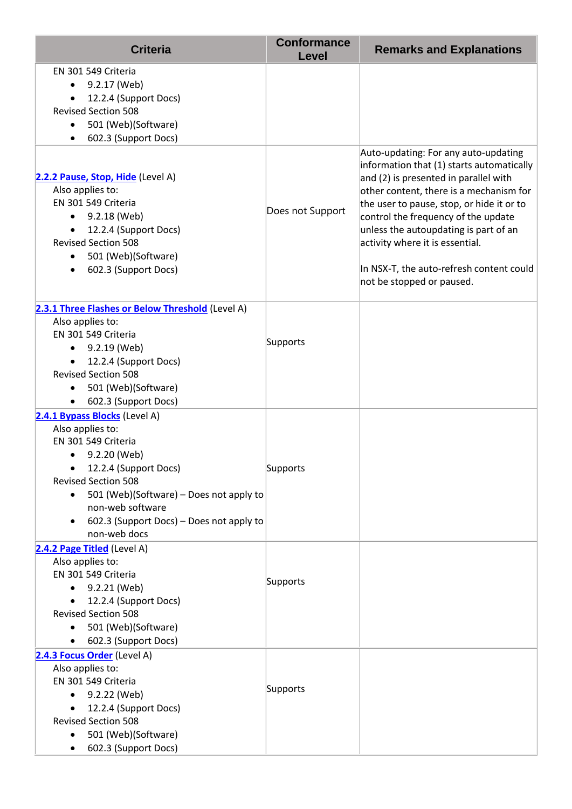| <b>Criteria</b>                                                                                                                                                                                                                                                                         | <b>Conformance</b><br>Level | <b>Remarks and Explanations</b>                                                                                                                                                                                                                                                                                                                                                                                |
|-----------------------------------------------------------------------------------------------------------------------------------------------------------------------------------------------------------------------------------------------------------------------------------------|-----------------------------|----------------------------------------------------------------------------------------------------------------------------------------------------------------------------------------------------------------------------------------------------------------------------------------------------------------------------------------------------------------------------------------------------------------|
| EN 301 549 Criteria<br>9.2.17 (Web)<br>$\bullet$<br>12.2.4 (Support Docs)<br><b>Revised Section 508</b><br>501 (Web)(Software)<br>$\bullet$<br>602.3 (Support Docs)                                                                                                                     |                             |                                                                                                                                                                                                                                                                                                                                                                                                                |
| 2.2.2 Pause, Stop, Hide (Level A)<br>Also applies to:<br>EN 301 549 Criteria<br>9.2.18 (Web)<br>$\bullet$<br>12.2.4 (Support Docs)<br>$\bullet$<br><b>Revised Section 508</b><br>501 (Web)(Software)<br>602.3 (Support Docs)<br>$\bullet$                                               | Does not Support            | Auto-updating: For any auto-updating<br>information that (1) starts automatically<br>and (2) is presented in parallel with<br>other content, there is a mechanism for<br>the user to pause, stop, or hide it or to<br>control the frequency of the update<br>unless the autoupdating is part of an<br>activity where it is essential.<br>In NSX-T, the auto-refresh content could<br>not be stopped or paused. |
| 2.3.1 Three Flashes or Below Threshold (Level A)<br>Also applies to:<br>EN 301 549 Criteria<br>9.2.19 (Web)<br>12.2.4 (Support Docs)<br><b>Revised Section 508</b><br>501 (Web)(Software)<br>602.3 (Support Docs)<br>$\bullet$                                                          | Supports                    |                                                                                                                                                                                                                                                                                                                                                                                                                |
| 2.4.1 Bypass Blocks (Level A)<br>Also applies to:<br>EN 301 549 Criteria<br>9.2.20 (Web)<br>12.2.4 (Support Docs)<br><b>Revised Section 508</b><br>501 (Web)(Software) - Does not apply to<br>$\bullet$<br>non-web software<br>602.3 (Support Docs) - Does not apply to<br>non-web docs | Supports                    |                                                                                                                                                                                                                                                                                                                                                                                                                |
| 2.4.2 Page Titled (Level A)<br>Also applies to:<br>EN 301 549 Criteria<br>9.2.21 (Web)<br>12.2.4 (Support Docs)<br><b>Revised Section 508</b><br>501 (Web)(Software)<br>$\bullet$<br>602.3 (Support Docs)                                                                               | Supports                    |                                                                                                                                                                                                                                                                                                                                                                                                                |
| 2.4.3 Focus Order (Level A)<br>Also applies to:<br>EN 301 549 Criteria<br>9.2.22 (Web)<br>12.2.4 (Support Docs)<br><b>Revised Section 508</b><br>501 (Web)(Software)<br>602.3 (Support Docs)                                                                                            | Supports                    |                                                                                                                                                                                                                                                                                                                                                                                                                |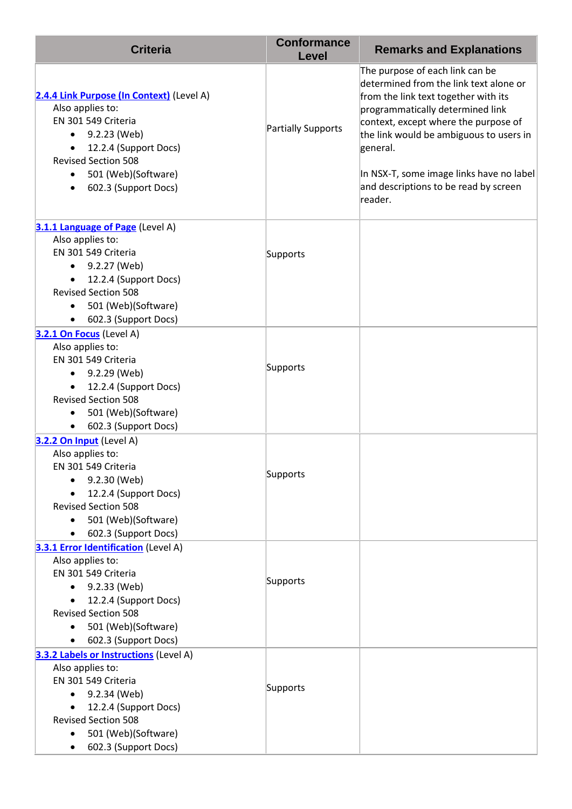| <b>Criteria</b>                                                                                                                                                                                                                                                | <b>Conformance</b><br><b>Level</b> | <b>Remarks and Explanations</b>                                                                                                                                                                                                                                                                                                                      |
|----------------------------------------------------------------------------------------------------------------------------------------------------------------------------------------------------------------------------------------------------------------|------------------------------------|------------------------------------------------------------------------------------------------------------------------------------------------------------------------------------------------------------------------------------------------------------------------------------------------------------------------------------------------------|
| 2.4.4 Link Purpose (In Context) (Level A)<br>Also applies to:<br>EN 301 549 Criteria<br>9.2.23 (Web)<br>$\bullet$<br>12.2.4 (Support Docs)<br>$\bullet$<br><b>Revised Section 508</b><br>501 (Web)(Software)<br>$\bullet$<br>602.3 (Support Docs)<br>$\bullet$ | Partially Supports                 | The purpose of each link can be<br>determined from the link text alone or<br>from the link text together with its<br>programmatically determined link<br>context, except where the purpose of<br>the link would be ambiguous to users in<br>general.<br>In NSX-T, some image links have no label<br>and descriptions to be read by screen<br>reader. |
| 3.1.1 Language of Page (Level A)<br>Also applies to:<br>EN 301 549 Criteria<br>9.2.27 (Web)<br>$\bullet$<br>12.2.4 (Support Docs)<br>$\bullet$<br><b>Revised Section 508</b><br>501 (Web)(Software)<br>602.3 (Support Docs)<br>$\bullet$                       | Supports                           |                                                                                                                                                                                                                                                                                                                                                      |
| 3.2.1 On Focus (Level A)<br>Also applies to:<br>EN 301 549 Criteria<br>9.2.29 (Web)<br>$\bullet$<br>12.2.4 (Support Docs)<br><b>Revised Section 508</b><br>501 (Web)(Software)<br>$\bullet$<br>602.3 (Support Docs)<br>$\bullet$                               | Supports                           |                                                                                                                                                                                                                                                                                                                                                      |
| 3.2.2 On Input (Level A)<br>Also applies to:<br>EN 301 549 Criteria<br>9.2.30 (Web)<br>12.2.4 (Support Docs)<br><b>Revised Section 508</b><br>501 (Web)(Software)<br>602.3 (Support Docs)                                                                      | Supports                           |                                                                                                                                                                                                                                                                                                                                                      |
| <b>3.3.1 Error Identification</b> (Level A)<br>Also applies to:<br>EN 301 549 Criteria<br>9.2.33 (Web)<br>$\bullet$<br>12.2.4 (Support Docs)<br><b>Revised Section 508</b><br>501 (Web)(Software)<br>$\bullet$<br>602.3 (Support Docs)                         | Supports                           |                                                                                                                                                                                                                                                                                                                                                      |
| 3.3.2 Labels or Instructions (Level A)<br>Also applies to:<br>EN 301 549 Criteria<br>9.2.34 (Web)<br>12.2.4 (Support Docs)<br><b>Revised Section 508</b><br>501 (Web)(Software)<br>602.3 (Support Docs)                                                        | Supports                           |                                                                                                                                                                                                                                                                                                                                                      |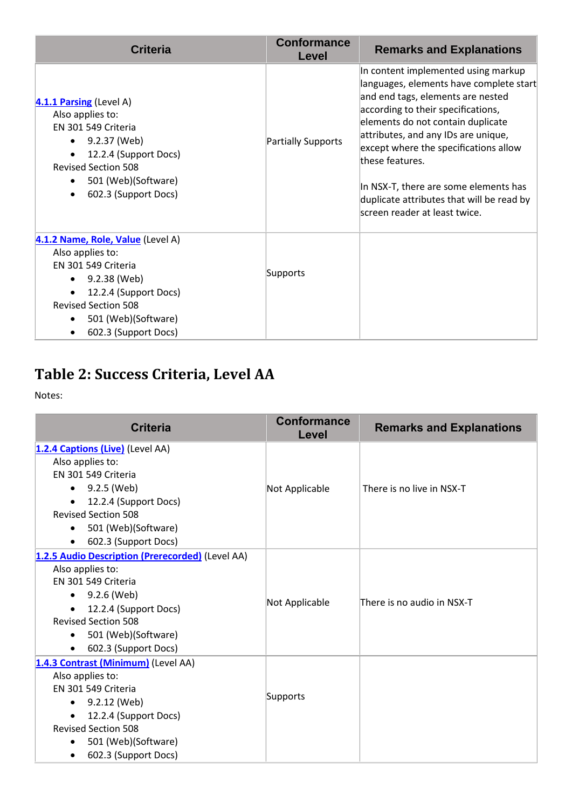| <b>Conformance</b><br>Level | <b>Remarks and Explanations</b>                                                                                                                                                                                                                                                                                                                                                                                          |
|-----------------------------|--------------------------------------------------------------------------------------------------------------------------------------------------------------------------------------------------------------------------------------------------------------------------------------------------------------------------------------------------------------------------------------------------------------------------|
| Partially Supports          | In content implemented using markup<br>languages, elements have complete start<br>and end tags, elements are nested<br>according to their specifications,<br>elements do not contain duplicate<br>attributes, and any IDs are unique,<br>except where the specifications allow<br>these features.<br>In NSX-T, there are some elements has<br>duplicate attributes that will be read by<br>screen reader at least twice. |
| Supports                    |                                                                                                                                                                                                                                                                                                                                                                                                                          |
|                             |                                                                                                                                                                                                                                                                                                                                                                                                                          |

### **Table 2: Success Criteria, Level AA**

| <b>Criteria</b>                                  | <b>Conformance</b><br>Level | <b>Remarks and Explanations</b> |
|--------------------------------------------------|-----------------------------|---------------------------------|
| 1.2.4 Captions (Live) (Level AA)                 |                             |                                 |
| Also applies to:                                 |                             |                                 |
| EN 301 549 Criteria                              |                             |                                 |
| • $9.2.5$ (Web)                                  | Not Applicable              | There is no live in NSX-T       |
| 12.2.4 (Support Docs)<br>$\bullet$               |                             |                                 |
| <b>Revised Section 508</b>                       |                             |                                 |
| 501 (Web)(Software)<br>$\bullet$                 |                             |                                 |
| 602.3 (Support Docs)<br>$\bullet$                |                             |                                 |
| 1.2.5 Audio Description (Prerecorded) (Level AA) |                             |                                 |
| Also applies to:                                 |                             |                                 |
| EN 301 549 Criteria                              |                             |                                 |
| $\bullet$ 9.2.6 (Web)                            |                             | There is no audio in NSX-T      |
| 12.2.4 (Support Docs)                            | Not Applicable              |                                 |
| <b>Revised Section 508</b>                       |                             |                                 |
| 501 (Web)(Software)<br>$\bullet$                 |                             |                                 |
| 602.3 (Support Docs)<br>$\bullet$                |                             |                                 |
| 1.4.3 Contrast (Minimum) (Level AA)              |                             |                                 |
| Also applies to:                                 |                             |                                 |
| EN 301 549 Criteria                              |                             |                                 |
| 9.2.12 (Web)<br>$\bullet$                        | Supports                    |                                 |
| 12.2.4 (Support Docs)                            |                             |                                 |
| <b>Revised Section 508</b>                       |                             |                                 |
| 501 (Web)(Software)                              |                             |                                 |
| 602.3 (Support Docs)                             |                             |                                 |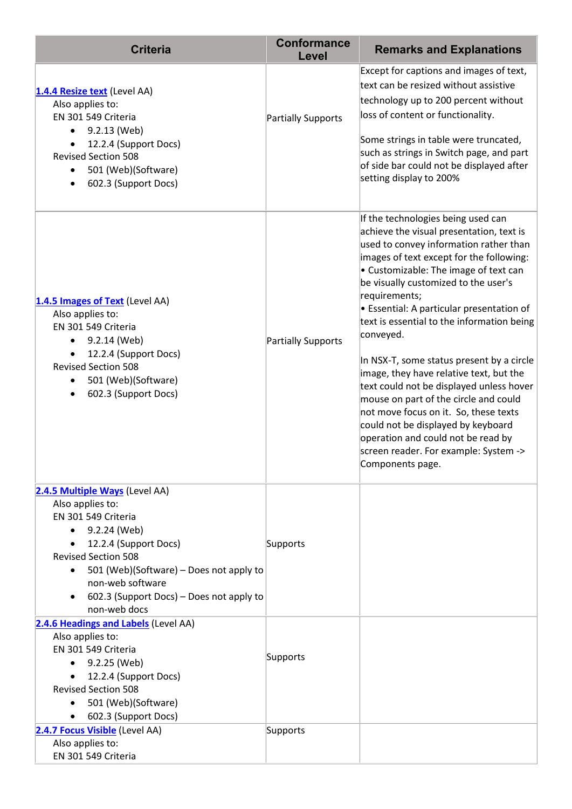| <b>Criteria</b>                                                                                                                                                                                                                                                                          | <b>Conformance</b><br>Level | <b>Remarks and Explanations</b>                                                                                                                                                                                                                                                                                                                                                                                                                                                                                                                                                                                                                                                                                                               |
|------------------------------------------------------------------------------------------------------------------------------------------------------------------------------------------------------------------------------------------------------------------------------------------|-----------------------------|-----------------------------------------------------------------------------------------------------------------------------------------------------------------------------------------------------------------------------------------------------------------------------------------------------------------------------------------------------------------------------------------------------------------------------------------------------------------------------------------------------------------------------------------------------------------------------------------------------------------------------------------------------------------------------------------------------------------------------------------------|
| 1.4.4 Resize text (Level AA)<br>Also applies to:<br>EN 301 549 Criteria<br>9.2.13 (Web)<br>$\bullet$<br>12.2.4 (Support Docs)<br><b>Revised Section 508</b><br>501 (Web)(Software)<br>$\bullet$<br>602.3 (Support Docs)                                                                  | Partially Supports          | Except for captions and images of text,<br>text can be resized without assistive<br>technology up to 200 percent without<br>loss of content or functionality.<br>Some strings in table were truncated,<br>such as strings in Switch page, and part<br>of side bar could not be displayed after<br>setting display to 200%                                                                                                                                                                                                                                                                                                                                                                                                                     |
| 1.4.5 Images of Text (Level AA)<br>Also applies to:<br>EN 301 549 Criteria<br>9.2.14 (Web)<br>12.2.4 (Support Docs)<br><b>Revised Section 508</b><br>501 (Web)(Software)<br>602.3 (Support Docs)                                                                                         | Partially Supports          | If the technologies being used can<br>achieve the visual presentation, text is<br>used to convey information rather than<br>images of text except for the following:<br>• Customizable: The image of text can<br>be visually customized to the user's<br>requirements;<br>• Essential: A particular presentation of<br>text is essential to the information being<br>conveyed.<br>In NSX-T, some status present by a circle<br>image, they have relative text, but the<br>text could not be displayed unless hover<br>mouse on part of the circle and could<br>not move focus on it. So, these texts<br>could not be displayed by keyboard<br>operation and could not be read by<br>screen reader. For example: System -><br>Components page. |
| 2.4.5 Multiple Ways (Level AA)<br>Also applies to:<br>EN 301 549 Criteria<br>9.2.24 (Web)<br>12.2.4 (Support Docs)<br><b>Revised Section 508</b><br>501 (Web)(Software) - Does not apply to<br>$\bullet$<br>non-web software<br>602.3 (Support Docs) – Does not apply to<br>non-web docs | Supports                    |                                                                                                                                                                                                                                                                                                                                                                                                                                                                                                                                                                                                                                                                                                                                               |
| 2.4.6 Headings and Labels (Level AA)<br>Also applies to:<br>EN 301 549 Criteria<br>9.2.25 (Web)<br>12.2.4 (Support Docs)<br><b>Revised Section 508</b><br>501 (Web)(Software)<br>602.3 (Support Docs)                                                                                    | Supports                    |                                                                                                                                                                                                                                                                                                                                                                                                                                                                                                                                                                                                                                                                                                                                               |
| 2.4.7 Focus Visible (Level AA)<br>Also applies to:<br>EN 301 549 Criteria                                                                                                                                                                                                                | Supports                    |                                                                                                                                                                                                                                                                                                                                                                                                                                                                                                                                                                                                                                                                                                                                               |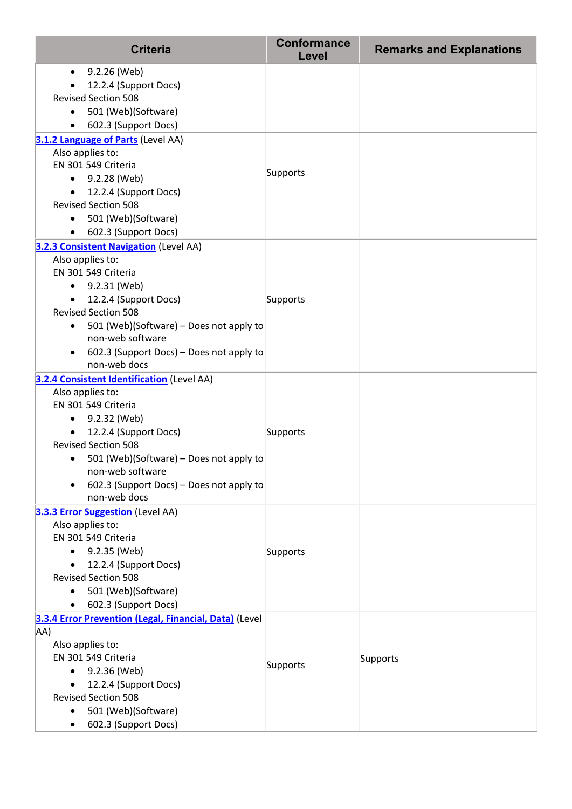| <b>Criteria</b>                                                                                                                                                                                                                                                                                                           | <b>Conformance</b><br>Level | <b>Remarks and Explanations</b> |
|---------------------------------------------------------------------------------------------------------------------------------------------------------------------------------------------------------------------------------------------------------------------------------------------------------------------------|-----------------------------|---------------------------------|
| 9.2.26 (Web)<br>$\bullet$<br>12.2.4 (Support Docs)<br><b>Revised Section 508</b><br>501 (Web)(Software)<br>602.3 (Support Docs)<br>$\bullet$                                                                                                                                                                              |                             |                                 |
| 3.1.2 Language of Parts (Level AA)<br>Also applies to:<br>EN 301 549 Criteria<br>$-9.2.28$ (Web)<br>12.2.4 (Support Docs)<br><b>Revised Section 508</b><br>• 501 (Web)(Software)<br>602.3 (Support Docs)                                                                                                                  | Supports                    |                                 |
| <b>3.2.3 Consistent Navigation (Level AA)</b><br>Also applies to:<br>EN 301 549 Criteria<br>9.2.31 (Web)<br>$\bullet$<br>12.2.4 (Support Docs)<br>$\bullet$<br><b>Revised Section 508</b><br>501 (Web)(Software) - Does not apply to<br>٠<br>non-web software<br>602.3 (Support Docs) – Does not apply to<br>non-web docs | Supports                    |                                 |
| 3.2.4 Consistent Identification (Level AA)<br>Also applies to:<br>EN 301 549 Criteria<br>9.2.32 (Web)<br>٠<br>12.2.4 (Support Docs)<br>$\bullet$<br><b>Revised Section 508</b><br>501 (Web)(Software) - Does not apply to<br>non-web software<br>602.3 (Support Docs) - Does not apply to<br>non-web docs                 | Supports                    |                                 |
| 3.3.3 Error Suggestion (Level AA)<br>Also applies to:<br>EN 301 549 Criteria<br>9.2.35 (Web)<br>12.2.4 (Support Docs)<br><b>Revised Section 508</b><br>501 (Web)(Software)<br>602.3 (Support Docs)                                                                                                                        | Supports                    |                                 |
| 3.3.4 Error Prevention (Legal, Financial, Data) (Level<br>AA)<br>Also applies to:<br>EN 301 549 Criteria<br>9.2.36 (Web)<br>12.2.4 (Support Docs)<br><b>Revised Section 508</b><br>501 (Web)(Software)<br>602.3 (Support Docs)                                                                                            | Supports                    | Supports                        |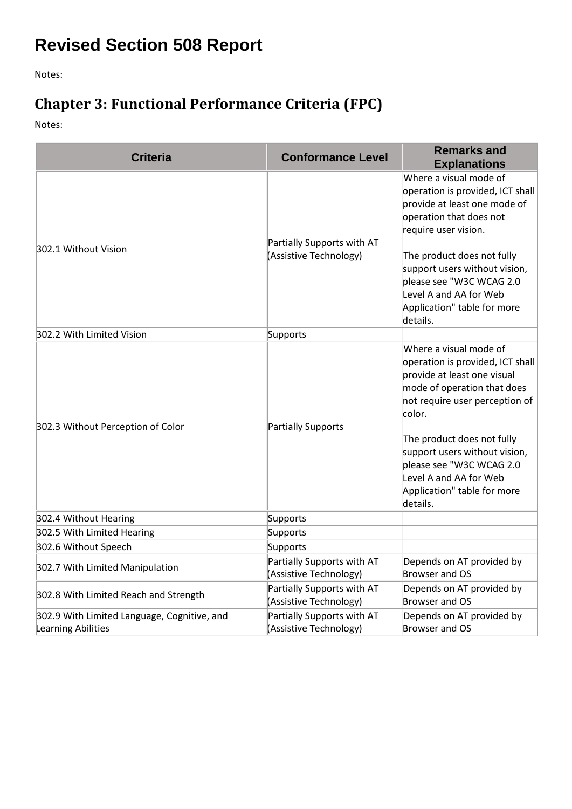# **Revised Section 508 Report**

Notes:

### **Chapter 3: Functional Performance Criteria (FPC)**

| <b>Criteria</b>                                                          | <b>Conformance Level</b>                             | <b>Remarks and</b><br><b>Explanations</b>                                                                                                                                                                                                                                                                                            |
|--------------------------------------------------------------------------|------------------------------------------------------|--------------------------------------------------------------------------------------------------------------------------------------------------------------------------------------------------------------------------------------------------------------------------------------------------------------------------------------|
| 302.1 Without Vision                                                     | Partially Supports with AT<br>(Assistive Technology) | Where a visual mode of<br>operation is provided, ICT shall<br>provide at least one mode of<br>operation that does not<br>require user vision.<br>The product does not fully<br>support users without vision,<br>please see "W3C WCAG 2.0<br>Level A and AA for Web<br>Application" table for more<br>details.                        |
| 302.2 With Limited Vision                                                | Supports                                             |                                                                                                                                                                                                                                                                                                                                      |
| 302.3 Without Perception of Color                                        | Partially Supports                                   | Where a visual mode of<br>operation is provided, ICT shall<br>provide at least one visual<br>mode of operation that does<br>not require user perception of<br>color.<br>The product does not fully<br>support users without vision,<br>please see "W3C WCAG 2.0<br>Level A and AA for Web<br>Application" table for more<br>details. |
| 302.4 Without Hearing                                                    | Supports                                             |                                                                                                                                                                                                                                                                                                                                      |
| 302.5 With Limited Hearing                                               | Supports                                             |                                                                                                                                                                                                                                                                                                                                      |
| 302.6 Without Speech                                                     | Supports                                             |                                                                                                                                                                                                                                                                                                                                      |
| 302.7 With Limited Manipulation                                          | Partially Supports with AT<br>(Assistive Technology) | Depends on AT provided by<br>Browser and OS                                                                                                                                                                                                                                                                                          |
| 302.8 With Limited Reach and Strength                                    | Partially Supports with AT<br>(Assistive Technology) | Depends on AT provided by<br>Browser and OS                                                                                                                                                                                                                                                                                          |
| 302.9 With Limited Language, Cognitive, and<br><b>Learning Abilities</b> | Partially Supports with AT<br>(Assistive Technology) | Depends on AT provided by<br>Browser and OS                                                                                                                                                                                                                                                                                          |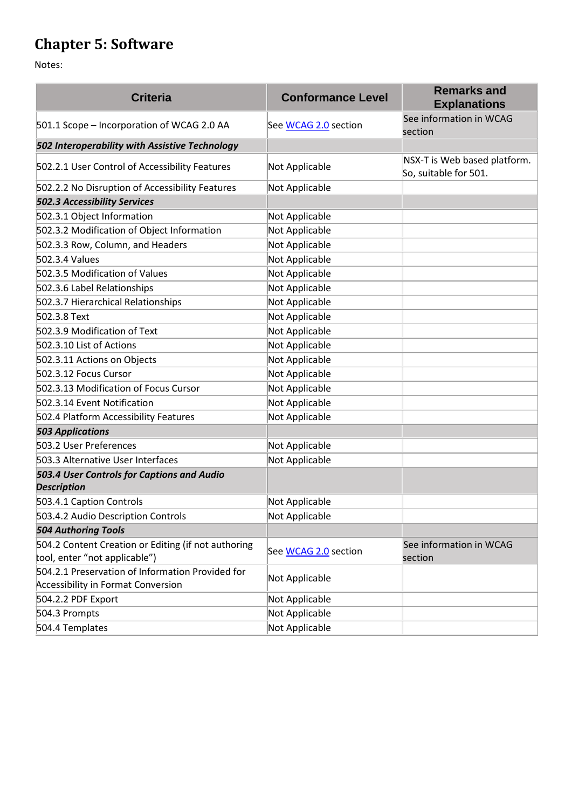### **Chapter 5: Software**

| <b>Criteria</b>                                                                               | <b>Conformance Level</b> | <b>Remarks and</b><br><b>Explanations</b>             |
|-----------------------------------------------------------------------------------------------|--------------------------|-------------------------------------------------------|
| 501.1 Scope - Incorporation of WCAG 2.0 AA                                                    | See WCAG 2.0 section     | See information in WCAG<br>section                    |
| 502 Interoperability with Assistive Technology                                                |                          |                                                       |
| 502.2.1 User Control of Accessibility Features                                                | Not Applicable           | NSX-T is Web based platform.<br>So, suitable for 501. |
| 502.2.2 No Disruption of Accessibility Features                                               | Not Applicable           |                                                       |
| <b>502.3 Accessibility Services</b>                                                           |                          |                                                       |
| 502.3.1 Object Information                                                                    | Not Applicable           |                                                       |
| 502.3.2 Modification of Object Information                                                    | Not Applicable           |                                                       |
| 502.3.3 Row, Column, and Headers                                                              | Not Applicable           |                                                       |
| 502.3.4 Values                                                                                | Not Applicable           |                                                       |
| 502.3.5 Modification of Values                                                                | Not Applicable           |                                                       |
| 502.3.6 Label Relationships                                                                   | Not Applicable           |                                                       |
| 502.3.7 Hierarchical Relationships                                                            | Not Applicable           |                                                       |
| 502.3.8 Text                                                                                  | Not Applicable           |                                                       |
| 502.3.9 Modification of Text                                                                  | Not Applicable           |                                                       |
| 502.3.10 List of Actions                                                                      | Not Applicable           |                                                       |
| 502.3.11 Actions on Objects                                                                   | Not Applicable           |                                                       |
| 502.3.12 Focus Cursor                                                                         | Not Applicable           |                                                       |
| 502.3.13 Modification of Focus Cursor                                                         | Not Applicable           |                                                       |
| 502.3.14 Event Notification                                                                   | Not Applicable           |                                                       |
| 502.4 Platform Accessibility Features                                                         | Not Applicable           |                                                       |
| <b>503 Applications</b>                                                                       |                          |                                                       |
| 503.2 User Preferences                                                                        | Not Applicable           |                                                       |
| 503.3 Alternative User Interfaces                                                             | Not Applicable           |                                                       |
| 503.4 User Controls for Captions and Audio<br><b>Description</b>                              |                          |                                                       |
| 503.4.1 Caption Controls                                                                      | Not Applicable           |                                                       |
| 503.4.2 Audio Description Controls                                                            | Not Applicable           |                                                       |
| <b>504 Authoring Tools</b>                                                                    |                          |                                                       |
| 504.2 Content Creation or Editing (if not authoring<br>tool, enter "not applicable")          | See WCAG 2.0 section     | See information in WCAG<br>section                    |
| 504.2.1 Preservation of Information Provided for<br><b>Accessibility in Format Conversion</b> | Not Applicable           |                                                       |
| 504.2.2 PDF Export                                                                            | Not Applicable           |                                                       |
| 504.3 Prompts                                                                                 | Not Applicable           |                                                       |
| 504.4 Templates                                                                               | Not Applicable           |                                                       |